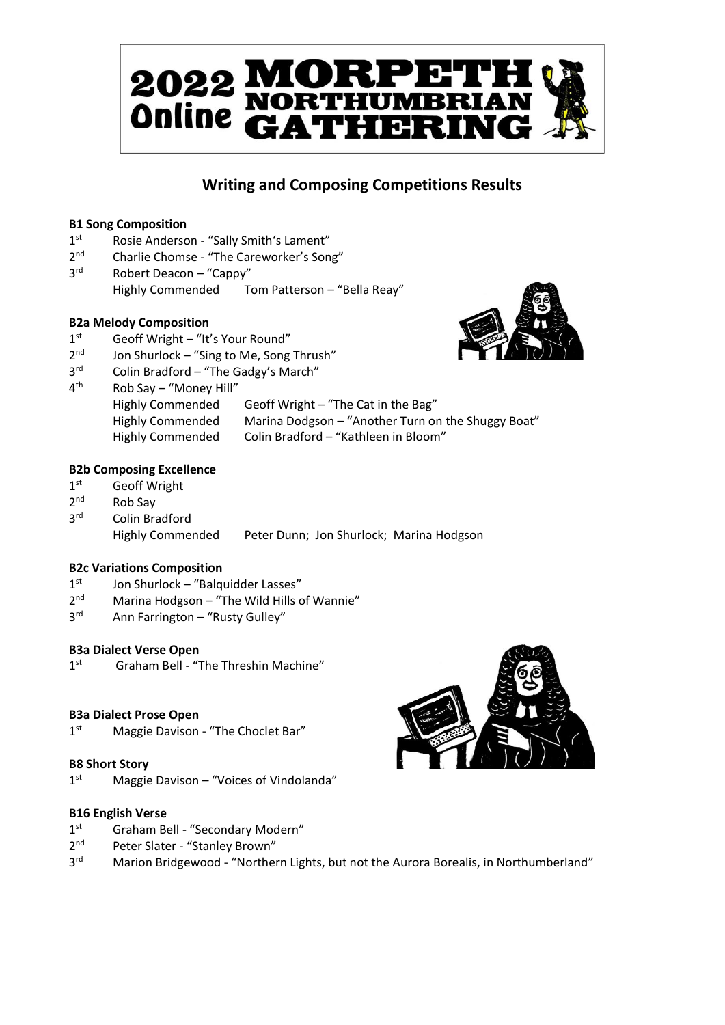

#### **Writing and Composing Competitions Results**

#### **B1 Song Composition**

- $1<sup>st</sup>$ Rosie Anderson - "Sally Smith's Lament"
- $2<sup>nd</sup>$ Charlie Chomse - "The Careworker's Song"
- $3<sup>rd</sup>$ Robert Deacon – "Cappy" Highly Commended Tom Patterson – "Bella Reay"

#### **B2a Melody Composition**

- $1<sup>st</sup>$ Geoff Wright – "It's Your Round"
- $2<sup>nd</sup>$ Jon Shurlock – "Sing to Me, Song Thrush"
- $3<sup>rd</sup>$ Colin Bradford – "The Gadgy's March"
- $4<sup>th</sup>$ Rob Say – "Money Hill"
	- Highly Commended Geoff Wright "The Cat in the Bag" Highly Commended Marina Dodgson – "Another Turn on the Shuggy Boat" Highly Commended Colin Bradford - "Kathleen in Bloom"

#### **B2b Composing Excellence**

- $1<sup>st</sup>$ **Geoff Wright**
- $2<sup>nd</sup>$ Rob Say
- 3rd Colin Bradford
	- Highly Commended Peter Dunn; Jon Shurlock; Marina Hodgson

#### **B2c Variations Composition**

- $1^{\text{st}}$ Jon Shurlock – "Balquidder Lasses"
- $2<sup>nd</sup>$ Marina Hodgson – "The Wild Hills of Wannie"
- $3<sup>rd</sup>$ Ann Farrington – "Rusty Gulley"

#### **B3a Dialect Verse Open**

 $1<sup>st</sup>$ Graham Bell - "The Threshin Machine"

#### **B3a Dialect Prose Open**

 $1<sup>st</sup>$ Maggie Davison - "The Choclet Bar"

#### **B8 Short Story**

 $1<sup>st</sup>$ Maggie Davison – "Voices of Vindolanda"

#### **B16 English Verse**

- $1<sup>st</sup>$ Graham Bell - "Secondary Modern"
- $2<sup>nd</sup>$ Peter Slater - "Stanley Brown"
- 3<sup>rd</sup> Marion Bridgewood - "Northern Lights, but not the Aurora Borealis, in Northumberland"